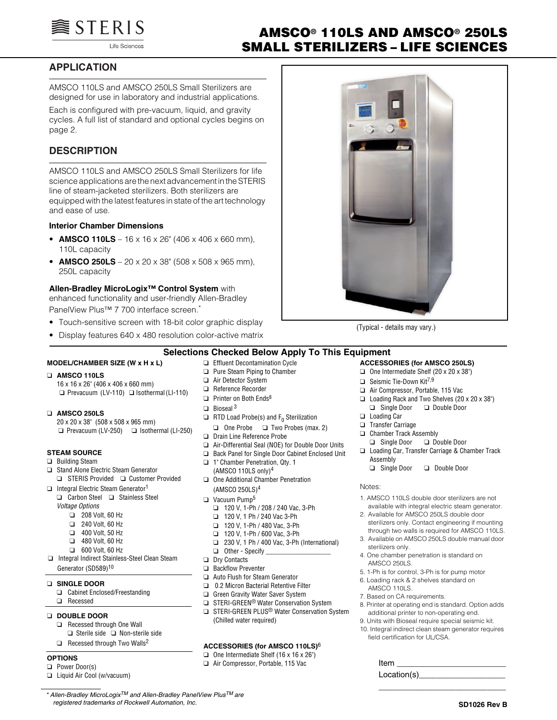

Life Sciences

# **AMSCO® 110LS AND AMSCO® 250LS SMALL STERILIZERS – LIFE SCIENCES**

# **APPLICATION**

AMSCO 110LS and AMSCO 250LS Small Sterilizers are designed for use in laboratory and industrial applications.

Each is configured with pre-vacuum, liquid, and gravity cycles. A full list of standard and optional cycles begins on page 2.

# **DESCRIPTION**

AMSCO 110LS and AMSCO 250LS Small Sterilizers for life science applications are the next advancement in the STERIS line of steam-jacketed sterilizers. Both sterilizers are equipped with the latest features in state of the art technology and ease of use.

### **Interior Chamber Dimensions**

- **AMSCO 110LS** 16 x 16 x 26" (406 x 406 x 660 mm), 110L capacity
- **AMSCO 250LS** 20 x 20 x 38" (508 x 508 x 965 mm), 250L capacity

#### **Allen-Bradley MicroLogix™ Control System** with

enhanced functionality and user-friendly Allen-Bradley PanelView Plus™ 7 700 interface screen.

- Touch-sensitive screen with 18-bit color graphic display
- Display features 640 x 480 resolution color-active matrix



(Typical - details may vary.)

### **Selections Checked Below Apply To This Equipment**

### **MODEL/CHAMBER SIZE (W x H x L)**

### ❑ **AMSCO 110LS**

16 x 16 x 26" (406 x 406 x 660 mm) ❑ Prevacuum (LV-110) ❑ Isothermal (LI-110)

#### ❑ **AMSCO 250LS**

20 x 20 x 38" (508 x 508 x 965 mm) ❑ Prevacuum (LV-250) ❑ Isothermal (LI-250)

# **STEAM SOURCE**

# ❑ Building Steam

- ❑ Stand Alone Electric Steam Generator ❑ STERIS Provided ❑ Customer Provided
- ❑ Integral Electric Steam Generator<sup>1</sup> ❑ Carbon Steel ❑ Stainless Steel
	- *Voltage Options*
		- ❑ 208 Volt, 60 Hz
		- ❑ 240 Volt, 60 Hz
		- ❑ 400 Volt, 50 Hz
		- ❑ 480 Volt, 60 Hz
		- ❑ 600 Volt, 60 Hz
- ❑ Integral Indirect Stainless-Steel Clean Steam Generator (SD589)10

#### ❑ **SINGLE DOOR**

❑ Cabinet Enclosed/Freestanding ❑ Recessed

#### ❑ **DOUBLE DOOR**

- ❑ Recessed through One Wall ❑ Sterile side ❑ Non-sterile side
- ❑ Recessed through Two Walls2

#### **OPTIONS**

- ❑ Power Door(s)
- ❑ Liquid Air Cool (w/vacuum)
- ❑ Effluent Decontamination Cycle ❑ Pure Steam Piping to Chamber
- ❑ Air Detector System ❑ Reference Recorder
- ❑ Printer on Both Ends8
- $\Box$  Bioseal 3
- $\Box$  RTD Load Probe(s) and F<sub>0</sub> Sterilization
	- ❑ One Probe ❑ Two Probes (max. 2)
- ❑ Drain Line Reference Probe
- ❑ Air-Differential Seal (NOE) for Double Door Units
- ❑ Back Panel for Single Door Cabinet Enclosed Unit
- ❑ 1" Chamber Penetration, Qty. 1
- (AMSCO 110LS only)<sup>4</sup> ❑ One Additional Chamber Penetration (AMSCO 250LS)4
- ❑ Vacuum Pump5
	- ❑ 120 V, 1-Ph / 208 / 240 Vac, 3-Ph
	- ❑ 120 V, 1 Ph / 240 Vac 3-Ph
	- ❑ 120 V, 1-Ph / 480 Vac, 3-Ph
	- ❑ 120 V, 1-Ph / 600 Vac, 3-Ph
	- ❑ 230 V, 1 Ph / 400 Vac, 3-Ph (International)
	- ❑ Other Specify \_\_\_\_\_\_\_\_\_\_\_\_\_\_\_\_\_\_\_
- ❑ Dry Contacts
- ❑ Backflow Preventer
- ❑ Auto Flush for Steam Generator
- ❑ 0.2 Micron Bacterial Retentive Filter
- ❑ Green Gravity Water Saver System
- ❑ STERI-GREEN® Water Conservation System
- ❑ STERI-GREEN PLUS® Water Conservation System (Chilled water required)

### **ACCESSORIES (for AMSCO 110LS)**<sup>6</sup>

 $\Box$  One Intermediate Shelf (16 x 16 x 26") ❑ Air Compressor, Portable, 115 Vac

#### **ACCESSORIES (for AMSCO 250LS)**  $\Box$  One Intermediate Shelf (20 x 20 x 38")

- ❑ Seismic Tie-Down Kit7,9
- ❑ Air Compressor, Portable, 115 Vac
- ❑ Loading Rack and Two Shelves (20 x 20 x 38")
- ❑ Single Door ❑ Double Door
- ❑ Loading Car
- ❑ Transfer Carriage
- ❑ Chamber Track Assembly
- ❑ Single Door ❑ Double Door
- ❑ Loading Car, Transfer Carriage & Chamber Track Assembly
	- ❑ Single Door ❑ Double Door

#### Notes:

- 1. AMSCO 110LS double door sterilizers are not available with integral electric steam generator.
- 2. Available for AMSCO 250LS double door sterilizers only. Contact engineering if mounting through two walls is required for AMSCO 110LS.
- 3. Available on AMSCO 250LS double manual door sterilizers only.
- 4. One chamber penetration is standard on AMSCO 250LS.
- 5. 1-Ph is for control, 3-Ph is for pump motor
- 6. Loading rack & 2 shelves standard on
- AMSCO 110LS.
- 7. Based on CA requirements.
- 8. Printer at operating end is standard. Option adds additional printer to non-operating end.
- 9. Units with Bioseal require special seismic kit.
- 10. Integral indirect clean steam generator requires field certification for UL/CSA.

| Item        |  |
|-------------|--|
| Location(s) |  |

\_\_\_\_\_\_\_\_\_\_\_\_\_\_\_\_\_\_\_\_\_\_\_\_\_\_\_\_

*\* Allen-Bradley MicroLogixTM and Allen-Bradley PanelView PlusTM are registered trademarks of Rockwell Automation, Inc.*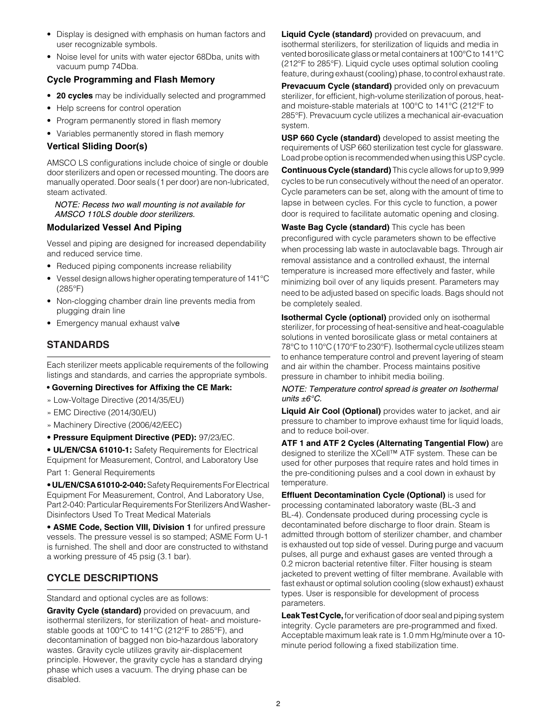- Display is designed with emphasis on human factors and user recognizable symbols.
- Noise level for units with water ejector 68Dba, units with vacuum pump 74Dba.

### **Cycle Programming and Flash Memory**

- **20 cycles** may be individually selected and programmed
- Help screens for control operation
- Program permanently stored in flash memory
- Variables permanently stored in flash memory

### **Vertical Sliding Door(s)**

AMSCO LS configurations include choice of single or double door sterilizers and open or recessed mounting. The doors are manually operated. Door seals (1 per door) are non-lubricated, steam activated.

*NOTE: Recess two wall mounting is not available for AMSCO 110LS double door sterilizers.*

### **Modularized Vessel And Piping**

Vessel and piping are designed for increased dependability and reduced service time.

- Reduced piping components increase reliability
- Vessel design allows higher operating temperature of 141°C (285°F)
- Non-clogging chamber drain line prevents media from plugging drain line
- Emergency manual exhaust valve

# **STANDARDS**

Each sterilizer meets applicable requirements of the following listings and standards, and carries the appropriate symbols.

- **Governing Directives for Affixing the CE Mark:**
- » Low-Voltage Directive (2014/35/EU)
- » EMC Directive (2014/30/EU)
- » Machinery Directive (2006/42/EEC)
- **Pressure Equipment Directive (PED):** 97/23/EC.

• **UL/EN/CSA 61010-1:** Safety Requirements for Electrical Equipment for Measurement, Control, and Laboratory Use

Part 1: General Requirements

• **UL/EN/CSA 61010-2-040:** Safety Requirements For Electrical Equipment For Measurement, Control, And Laboratory Use, Part 2-040: Particular Requirements For Sterilizers And Washer-Disinfectors Used To Treat Medical Materials

• **ASME Code, Section VIII, Division 1** for unfired pressure vessels. The pressure vessel is so stamped; ASME Form U-1 is furnished. The shell and door are constructed to withstand a working pressure of 45 psig (3.1 bar).

# **CYCLE DESCRIPTIONS**

Standard and optional cycles are as follows:

**Gravity Cycle (standard)** provided on prevacuum, and isothermal sterilizers, for sterilization of heat- and moisturestable goods at 100°C to 141°C (212°F to 285°F), and decontamination of bagged non bio-hazardous laboratory wastes. Gravity cycle utilizes gravity air-displacement principle. However, the gravity cycle has a standard drying phase which uses a vacuum. The drying phase can be disabled.

**Liquid Cycle (standard)** provided on prevacuum, and isothermal sterilizers, for sterilization of liquids and media in vented borosilicate glass or metal containers at 100°C to 141°C (212°F to 285°F). Liquid cycle uses optimal solution cooling feature, during exhaust (cooling) phase, to control exhaust rate.

**Prevacuum Cycle (standard)** provided only on prevacuum sterilizer, for efficient, high-volume sterilization of porous, heatand moisture-stable materials at 100°C to 141°C (212°F to 285°F). Prevacuum cycle utilizes a mechanical air-evacuation system.

**USP 660 Cycle (standard)** developed to assist meeting the requirements of USP 660 sterilization test cycle for glassware. Load probe option is recommended when using this USP cycle.

**Continuous Cycle (standard)** This cycle allows for up to 9,999 cycles to be run consecutively without the need of an operator. Cycle parameters can be set, along with the amount of time to lapse in between cycles. For this cycle to function, a power door is required to facilitate automatic opening and closing.

**Waste Bag Cycle (standard)** This cycle has been preconfigured with cycle parameters shown to be effective when processing lab waste in autoclavable bags. Through air removal assistance and a controlled exhaust, the internal temperature is increased more effectively and faster, while minimizing boil over of any liquids present. Parameters may need to be adjusted based on specific loads. Bags should not be completely sealed.

**Isothermal Cycle (optional)** provided only on isothermal sterilizer, for processing of heat-sensitive and heat-coagulable solutions in vented borosilicate glass or metal containers at 78°C to 110°C (170°F to 230°F). Isothermal cycle utilizes steam to enhance temperature control and prevent layering of steam and air within the chamber. Process maintains positive pressure in chamber to inhibit media boiling.

*NOTE: Temperature control spread is greater on Isothermal units ±6°C.*

**Liquid Air Cool (Optional)** provides water to jacket, and air pressure to chamber to improve exhaust time for liquid loads, and to reduce boil-over.

**ATF 1 and ATF 2 Cycles (Alternating Tangential Flow)** are designed to sterilize the XCell™ ATF system. These can be used for other purposes that require rates and hold times in the pre-conditioning pulses and a cool down in exhaust by temperature.

**Effluent Decontamination Cycle (Optional)** is used for processing contaminated laboratory waste (BL-3 and BL-4). Condensate produced during processing cycle is decontaminated before discharge to floor drain. Steam is admitted through bottom of sterilizer chamber, and chamber is exhausted out top side of vessel. During purge and vacuum pulses, all purge and exhaust gases are vented through a 0.2 micron bacterial retentive filter. Filter housing is steam jacketed to prevent wetting of filter membrane. Available with fast exhaust or optimal solution cooling (slow exhaust) exhaust types. User is responsible for development of process parameters.

**Leak Test Cycle,** for verification of door seal and piping system integrity. Cycle parameters are pre-programmed and fixed. Acceptable maximum leak rate is 1.0 mm Hg/minute over a 10 minute period following a fixed stabilization time.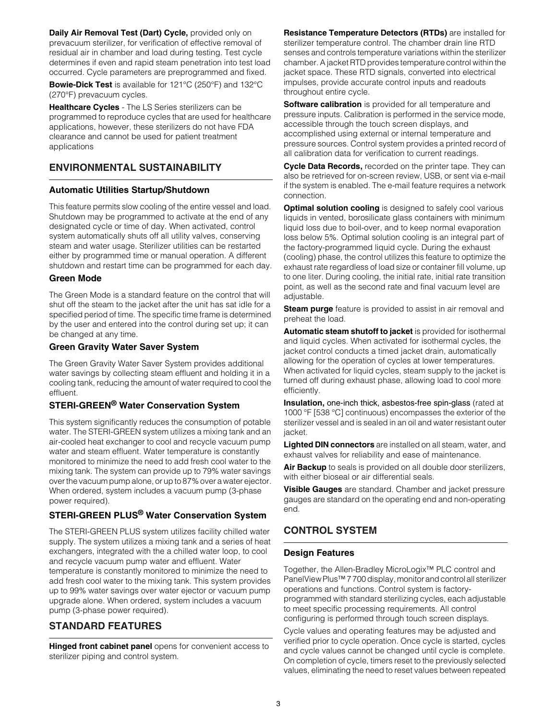**Daily Air Removal Test (Dart) Cycle,** provided only on prevacuum sterilizer, for verification of effective removal of residual air in chamber and load during testing. Test cycle determines if even and rapid steam penetration into test load occurred. Cycle parameters are preprogrammed and fixed.

**Bowie-Dick Test** is available for 121°C (250°F) and 132°C (270°F) prevacuum cycles.

**Healthcare Cycles** - The LS Series sterilizers can be programmed to reproduce cycles that are used for healthcare applications, however, these sterilizers do not have FDA clearance and cannot be used for patient treatment applications

# **ENVIRONMENTAL SUSTAINABILITY**

# **Automatic Utilities Startup/Shutdown**

This feature permits slow cooling of the entire vessel and load. Shutdown may be programmed to activate at the end of any designated cycle or time of day. When activated, control system automatically shuts off all utility valves, conserving steam and water usage. Sterilizer utilities can be restarted either by programmed time or manual operation. A different shutdown and restart time can be programmed for each day.

### **Green Mode**

The Green Mode is a standard feature on the control that will shut off the steam to the jacket after the unit has sat idle for a specified period of time. The specific time frame is determined by the user and entered into the control during set up; it can be changed at any time.

### **Green Gravity Water Saver System**

The Green Gravity Water Saver System provides additional water savings by collecting steam effluent and holding it in a cooling tank, reducing the amount of water required to cool the effluent.

# **STERI-GREEN® Water Conservation System**

This system significantly reduces the consumption of potable water. The STERI-GREEN system utilizes a mixing tank and an air-cooled heat exchanger to cool and recycle vacuum pump water and steam effluent. Water temperature is constantly monitored to minimize the need to add fresh cool water to the mixing tank. The system can provide up to 79% water savings over the vacuum pump alone, or up to 87% over a water ejector. When ordered, system includes a vacuum pump (3-phase power required).

# **STERI-GREEN PLUS® Water Conservation System**

The STERI-GREEN PLUS system utilizes facility chilled water supply. The system utilizes a mixing tank and a series of heat exchangers, integrated with the a chilled water loop, to cool and recycle vacuum pump water and effluent. Water temperature is constantly monitored to minimize the need to add fresh cool water to the mixing tank. This system provides up to 99% water savings over water ejector or vacuum pump upgrade alone. When ordered, system includes a vacuum pump (3-phase power required).

# **STANDARD FEATURES**

**Hinged front cabinet panel** opens for convenient access to sterilizer piping and control system.

**Resistance Temperature Detectors (RTDs)** are installed for sterilizer temperature control. The chamber drain line RTD senses and controls temperature variations within the sterilizer chamber. A jacket RTD provides temperature control within the jacket space. These RTD signals, converted into electrical impulses, provide accurate control inputs and readouts throughout entire cycle.

**Software calibration** is provided for all temperature and pressure inputs. Calibration is performed in the service mode, accessible through the touch screen displays, and accomplished using external or internal temperature and pressure sources. Control system provides a printed record of all calibration data for verification to current readings.

**Cycle Data Records,** recorded on the printer tape. They can also be retrieved for on-screen review, USB, or sent via e-mail if the system is enabled. The e-mail feature requires a network connection.

**Optimal solution cooling** is designed to safely cool various liquids in vented, borosilicate glass containers with minimum liquid loss due to boil-over, and to keep normal evaporation loss below 5%. Optimal solution cooling is an integral part of the factory-programmed liquid cycle. During the exhaust (cooling) phase, the control utilizes this feature to optimize the exhaust rate regardless of load size or container fill volume, up to one liter. During cooling, the initial rate, initial rate transition point, as well as the second rate and final vacuum level are adjustable.

**Steam purge** feature is provided to assist in air removal and preheat the load.

**Automatic steam shutoff to jacket** is provided for isothermal and liquid cycles. When activated for isothermal cycles, the jacket control conducts a timed jacket drain, automatically allowing for the operation of cycles at lower temperatures. When activated for liquid cycles, steam supply to the jacket is turned off during exhaust phase, allowing load to cool more efficiently.

**Insulation, one-inch thick, asbestos-free spin-glass (rated at** 1000 °F [538 °C] continuous) encompasses the exterior of the sterilizer vessel and is sealed in an oil and water resistant outer jacket.

**Lighted DIN connectors** are installed on all steam, water, and exhaust valves for reliability and ease of maintenance.

**Air Backup** to seals is provided on all double door sterilizers, with either bioseal or air differential seals.

**Visible Gauges** are standard. Chamber and jacket pressure gauges are standard on the operating end and non-operating end.

# **CONTROL SYSTEM**

# **Design Features**

Together, the Allen-Bradley MicroLogix™ PLC control and PanelView Plus™ 7 700 display, monitor and control all sterilizer operations and functions. Control system is factoryprogrammed with standard sterilizing cycles, each adjustable to meet specific processing requirements. All control configuring is performed through touch screen displays.

Cycle values and operating features may be adjusted and verified prior to cycle operation. Once cycle is started, cycles and cycle values cannot be changed until cycle is complete. On completion of cycle, timers reset to the previously selected values, eliminating the need to reset values between repeated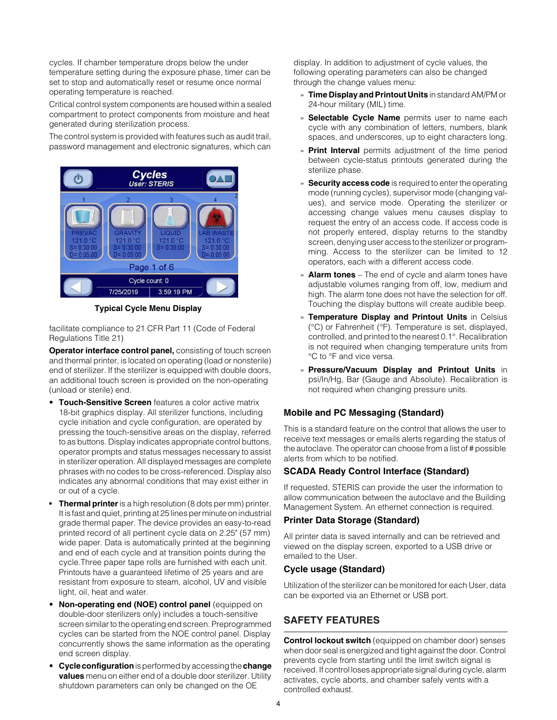cycles. If chamber temperature drops below the under temperature setting during the exposure phase, timer can be set to stop and automatically reset or resume once normal operating temperature is reached.

Critical control system components are housed within a sealed compartment to protect components from moisture and heat generated during sterilization process.

The control system is provided with features such as audit trail, password management and electronic signatures, which can



**Typical Cycle Menu Display**

facilitate compliance to 21 CFR Part 11 (Code of Federal Regulations Title 21)

**Operator interface control panel,** consisting of touch screen and thermal printer, is located on operating (load or nonsterile) end of sterilizer. If the sterilizer is equipped with double doors, an additional touch screen is provided on the non-operating (unload or sterile) end.

- **Touch-Sensitive Screen** features a color active matrix 18-bit graphics display. All sterilizer functions, including cycle initiation and cycle configuration, are operated by pressing the touch-sensitive areas on the display, referred to as buttons. Display indicates appropriate control buttons, operator prompts and status messages necessary to assist in sterilizer operation. All displayed messages are complete phrases with no codes to be cross-referenced. Display also indicates any abnormal conditions that may exist either in or out of a cycle.
- **Thermal printer** is a high resolution (8 dots per mm) printer. It is fast and quiet, printing at 25 lines per minute on industrial grade thermal paper. The device provides an easy-to-read printed record of all pertinent cycle data on 2.25" (57 mm) wide paper. Data is automatically printed at the beginning and end of each cycle and at transition points during the cycle.Three paper tape rolls are furnished with each unit. Printouts have a guaranteed lifetime of 25 years and are resistant from exposure to steam, alcohol, UV and visible light, oil, heat and water.
- **Non-operating end (NOE) control panel** (equipped on double-door sterilizers only) includes a touch-sensitive screen similar to the operating end screen. Preprogrammed cycles can be started from the NOE control panel. Display concurrently shows the same information as the operating end screen display.
- **Cycle configuration** is performed by accessing the **change values** menu on either end of a double door sterilizer. Utility shutdown parameters can only be changed on the OE

display. In addition to adjustment of cycle values, the following operating parameters can also be changed through the change values menu:

- » **Time Display and Printout Units** in standard AM/PM or 24-hour military (MIL) time.
- » **Selectable Cycle Name** permits user to name each cycle with any combination of letters, numbers, blank spaces, and underscores, up to eight characters long.
- » **Print Interval** permits adjustment of the time period between cycle-status printouts generated during the sterilize phase.
- » **Security access code** is required to enter the operating mode (running cycles), supervisor mode (changing values), and service mode. Operating the sterilizer or accessing change values menu causes display to request the entry of an access code. If access code is not properly entered, display returns to the standby screen, denying user access to the sterilizer or programming. Access to the sterilizer can be limited to 12 operators, each with a different access code.
- » **Alarm tones** The end of cycle and alarm tones have adjustable volumes ranging from off, low, medium and high. The alarm tone does not have the selection for off. Touching the display buttons will create audible beep.
- » **Temperature Display and Printout Units** in Celsius (°C) or Fahrenheit (°F). Temperature is set, displayed, controlled, and printed to the nearest 0.1°. Recalibration is not required when changing temperature units from °C to °F and vice versa.
- » **Pressure/Vacuum Display and Printout Units** in psi/In/Hg, Bar (Gauge and Absolute). Recalibration is not required when changing pressure units.

# **Mobile and PC Messaging (Standard)**

This is a standard feature on the control that allows the user to receive text messages or emails alerts regarding the status of the autoclave. The operator can choose from a list of # possible alerts from which to be notified.

### **SCADA Ready Control Interface (Standard)**

If requested, STERIS can provide the user the information to allow communication between the autoclave and the Building Management System. An ethernet connection is required.

### **Printer Data Storage (Standard)**

All printer data is saved internally and can be retrieved and viewed on the display screen, exported to a USB drive or emailed to the User.

### **Cycle usage (Standard)**

Utilization of the sterilizer can be monitored for each User, data can be exported via an Ethernet or USB port.

# **SAFETY FEATURES**

**Control lockout switch** (equipped on chamber door) senses when door seal is energized and tight against the door. Control prevents cycle from starting until the limit switch signal is received. If control loses appropriate signal during cycle, alarm activates, cycle aborts, and chamber safely vents with a controlled exhaust.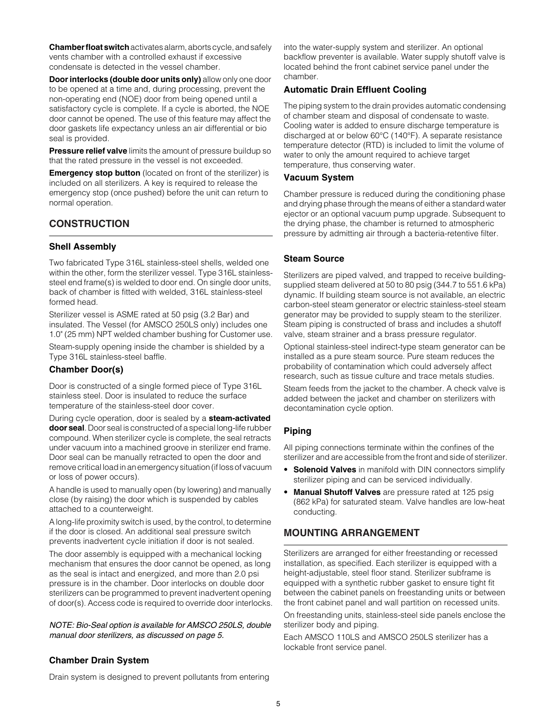**Chamber float switch** activates alarm, aborts cycle, and safely vents chamber with a controlled exhaust if excessive condensate is detected in the vessel chamber.

**Door interlocks (double door units only)** allow only one door to be opened at a time and, during processing, prevent the non-operating end (NOE) door from being opened until a satisfactory cycle is complete. If a cycle is aborted, the NOE door cannot be opened. The use of this feature may affect the door gaskets life expectancy unless an air differential or bio seal is provided.

**Pressure relief valve** limits the amount of pressure buildup so that the rated pressure in the vessel is not exceeded.

**Emergency stop button** (located on front of the sterilizer) is included on all sterilizers. A key is required to release the emergency stop (once pushed) before the unit can return to normal operation.

# **CONSTRUCTION**

# **Shell Assembly**

Two fabricated Type 316L stainless-steel shells, welded one within the other, form the sterilizer vessel. Type 316L stainlesssteel end frame(s) is welded to door end. On single door units, back of chamber is fitted with welded, 316L stainless-steel formed head.

Sterilizer vessel is ASME rated at 50 psig (3.2 Bar) and insulated. The Vessel (for AMSCO 250LS only) includes one 1.0" (25 mm) NPT welded chamber bushing for Customer use.

Steam-supply opening inside the chamber is shielded by a Type 316L stainless-steel baffle.

# **Chamber Door(s)**

Door is constructed of a single formed piece of Type 316L stainless steel. Door is insulated to reduce the surface temperature of the stainless-steel door cover.

During cycle operation, door is sealed by a **steam-activated door seal**. Door seal is constructed of a special long-life rubber compound. When sterilizer cycle is complete, the seal retracts under vacuum into a machined groove in sterilizer end frame. Door seal can be manually retracted to open the door and remove critical load in an emergency situation (if loss of vacuum or loss of power occurs).

A handle is used to manually open (by lowering) and manually close (by raising) the door which is suspended by cables attached to a counterweight.

A long-life proximity switch is used, by the control, to determine if the door is closed. An additional seal pressure switch prevents inadvertent cycle initiation if door is not sealed.

The door assembly is equipped with a mechanical locking mechanism that ensures the door cannot be opened, as long as the seal is intact and energized, and more than 2.0 psi pressure is in the chamber. Door interlocks on double door sterilizers can be programmed to prevent inadvertent opening of door(s). Access code is required to override door interlocks.

*NOTE: Bio-Seal option is available for AMSCO 250LS, double manual door sterilizers, as discussed on page 5.*

into the water-supply system and sterilizer. An optional backflow preventer is available. Water supply shutoff valve is located behind the front cabinet service panel under the chamber.

### **Automatic Drain Effluent Cooling**

The piping system to the drain provides automatic condensing of chamber steam and disposal of condensate to waste. Cooling water is added to ensure discharge temperature is discharged at or below 60°C (140°F). A separate resistance temperature detector (RTD) is included to limit the volume of water to only the amount required to achieve target temperature, thus conserving water.

### **Vacuum System**

Chamber pressure is reduced during the conditioning phase and drying phase through the means of either a standard water ejector or an optional vacuum pump upgrade. Subsequent to the drying phase, the chamber is returned to atmospheric pressure by admitting air through a bacteria-retentive filter.

### **Steam Source**

Sterilizers are piped valved, and trapped to receive buildingsupplied steam delivered at 50 to 80 psig (344.7 to 551.6 kPa) dynamic. If building steam source is not available, an electric carbon-steel steam generator or electric stainless-steel steam generator may be provided to supply steam to the sterilizer. Steam piping is constructed of brass and includes a shutoff valve, steam strainer and a brass pressure regulator.

Optional stainless-steel indirect-type steam generator can be installed as a pure steam source. Pure steam reduces the probability of contamination which could adversely affect research, such as tissue culture and trace metals studies.

Steam feeds from the jacket to the chamber. A check valve is added between the jacket and chamber on sterilizers with decontamination cycle option.

# **Piping**

All piping connections terminate within the confines of the sterilizer and are accessible from the front and side of sterilizer.

- **Solenoid Valves** in manifold with DIN connectors simplify sterilizer piping and can be serviced individually.
- **Manual Shutoff Valves** are pressure rated at 125 psig (862 kPa) for saturated steam. Valve handles are low-heat conducting.

# **MOUNTING ARRANGEMENT**

Sterilizers are arranged for either freestanding or recessed installation, as specified. Each sterilizer is equipped with a height-adjustable, steel floor stand. Sterilizer subframe is equipped with a synthetic rubber gasket to ensure tight fit between the cabinet panels on freestanding units or between the front cabinet panel and wall partition on recessed units.

On freestanding units, stainless-steel side panels enclose the sterilizer body and piping.

Each AMSCO 110LS and AMSCO 250LS sterilizer has a lockable front service panel.

# **Chamber Drain System**

Drain system is designed to prevent pollutants from entering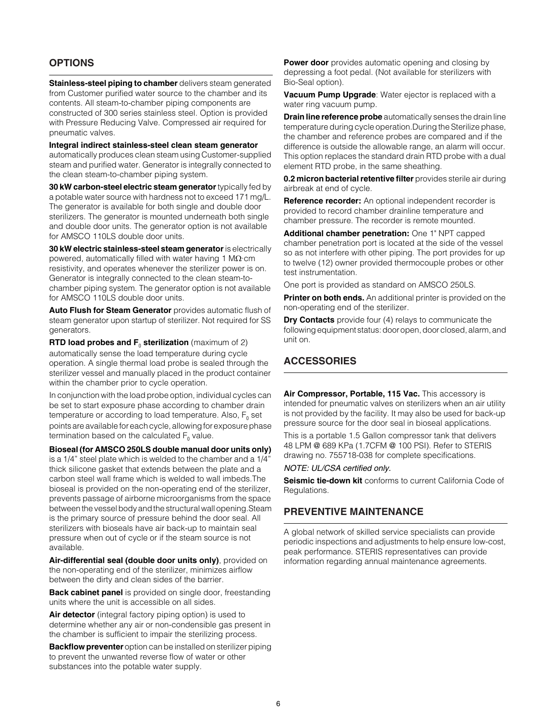# **OPTIONS**

**Stainless-steel piping to chamber** delivers steam generated from Customer purified water source to the chamber and its contents. All steam-to-chamber piping components are constructed of 300 series stainless steel. Option is provided with Pressure Reducing Valve. Compressed air required for pneumatic valves.

**Integral indirect stainless-steel clean steam generator**  automatically produces clean steam using Customer-supplied steam and purified water. Generator is integrally connected to the clean steam-to-chamber piping system.

**30 kW carbon-steel electric steam generator** typically fed by a potable water source with hardness not to exceed 171 mg/L. The generator is available for both single and double door sterilizers. The generator is mounted underneath both single and double door units. The generator option is not available for AMSCO 110LS double door units.

**30 kW electric stainless-steel steam generator** is electrically powered, automatically filled with water having 1 M $\Omega$ ·cm resistivity, and operates whenever the sterilizer power is on. Generator is integrally connected to the clean steam-tochamber piping system. The generator option is not available for AMSCO 110LS double door units.

**Auto Flush for Steam Generator** provides automatic flush of steam generator upon startup of sterilizer. Not required for SS generators.

**RTD load probes and F<sub>0</sub> sterilization** (maximum of 2) automatically sense the load temperature during cycle operation. A single thermal load probe is sealed through the sterilizer vessel and manually placed in the product container within the chamber prior to cycle operation.

In conjunction with the load probe option, individual cycles can be set to start exposure phase according to chamber drain temperature or according to load temperature. Also,  $F_0$  set points are available for each cycle, allowing for exposure phase termination based on the calculated  $F_0$  value.

**Bioseal (for AMSCO 250LS double manual door units only)** is a 1/4" steel plate which is welded to the chamber and a 1/4" thick silicone gasket that extends between the plate and a carbon steel wall frame which is welded to wall imbeds.The bioseal is provided on the non-operating end of the sterilizer, prevents passage of airborne microorganisms from the space between the vessel body and the structural wall opening.Steam is the primary source of pressure behind the door seal. All sterilizers with bioseals have air back-up to maintain seal pressure when out of cycle or if the steam source is not available.

**Air-differential seal (double door units only)**, provided on the non-operating end of the sterilizer, minimizes airflow between the dirty and clean sides of the barrier.

**Back cabinet panel** is provided on single door, freestanding units where the unit is accessible on all sides.

**Air detector** (integral factory piping option) is used to determine whether any air or non-condensible gas present in the chamber is sufficient to impair the sterilizing process.

**Backflow preventer** option can be installed on sterilizer piping to prevent the unwanted reverse flow of water or other substances into the potable water supply.

**Power door** provides automatic opening and closing by depressing a foot pedal. (Not available for sterilizers with Bio-Seal option).

**Vacuum Pump Upgrade**: Water ejector is replaced with a water ring vacuum pump.

**Drain line reference probe** automatically senses the drain line temperature during cycle operation.During the Sterilize phase, the chamber and reference probes are compared and if the difference is outside the allowable range, an alarm will occur. This option replaces the standard drain RTD probe with a dual element RTD probe, in the same sheathing.

**0.2 micron bacterial retentive filter** provides sterile air during airbreak at end of cycle.

**Reference recorder:** An optional independent recorder is provided to record chamber drainline temperature and chamber pressure. The recorder is remote mounted.

**Additional chamber penetration:** One 1" NPT capped chamber penetration port is located at the side of the vessel so as not interfere with other piping. The port provides for up to twelve (12) owner provided thermocouple probes or other test instrumentation.

One port is provided as standard on AMSCO 250LS.

**Printer on both ends.** An additional printer is provided on the non-operating end of the sterilizer.

**Dry Contacts** provide four (4) relays to communicate the following equipment status: door open, door closed, alarm, and unit on.

# **ACCESSORIES**

**Air Compressor, Portable, 115 Vac.** This accessory is intended for pneumatic valves on sterilizers when an air utility is not provided by the facility. It may also be used for back-up pressure source for the door seal in bioseal applications. This is a portable 1.5 Gallon compressor tank that delivers 48 LPM @ 689 KPa (1.7CFM @ 100 PSI). Refer to STERIS drawing no. 755718-038 for complete specifications.

#### *NOTE: UL/CSA certified only.*

**Seismic tie-down kit** conforms to current California Code of Regulations.

# **PREVENTIVE MAINTENANCE**

A global network of skilled service specialists can provide periodic inspections and adjustments to help ensure low-cost, peak performance. STERIS representatives can provide information regarding annual maintenance agreements.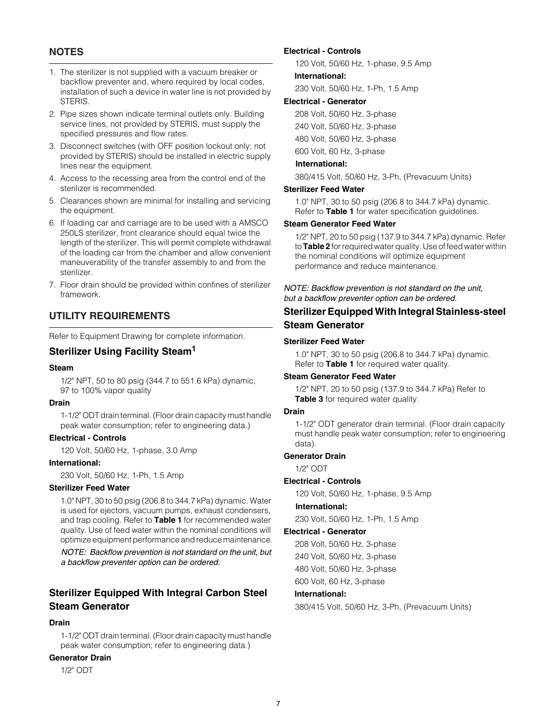# **NOTES**

- 1. The sterilizer is not supplied with a vacuum breaker or backflow preventer and, where required by local codes, installation of such a device in water line is not provided by STERIS.
- 2. Pipe sizes shown indicate terminal outlets only. Building service lines, not provided by STERIS, must supply the specified pressures and flow rates.
- 3. Disconnect switches (with OFF position lockout only; not provided by STERIS) should be installed in electric supply lines near the equipment.
- 4. Access to the recessing area from the control end of the sterilizer is recommended.
- 5. Clearances shown are minimal for installing and servicing the equipment.
- 6. If loading car and carriage are to be used with a AMSCO 250LS sterilizer, front clearance should equal twice the length of the sterilizer. This will permit complete withdrawal of the loading car from the chamber and allow convenient maneuverability of the transfer assembly to and from the sterilizer.
- 7. Floor drain should be provided within confines of sterilizer framework.

# **UTILITY REQUIREMENTS**

Refer to Equipment Drawing for complete information.

### **Sterilizer Using Facility Steam1**

#### **Steam**

1/2" NPT, 50 to 80 psig (344.7 to 551.6 kPa) dynamic, 97 to 100% vapor quality

#### **Drain**

1-1/2" ODT drain terminal. (Floor drain capacity must handle peak water consumption; refer to engineering data.)

#### **Electrical - Controls**

120 Volt, 50/60 Hz, 1-phase, 3.0 Amp

#### **International:**

230 Volt, 50/60 Hz, 1-Ph, 1.5 Amp

### **Sterilizer Feed Water**

1.0" NPT, 30 to 50 psig (206.8 to 344.7 kPa) dynamic. Water is used for ejectors, vacuum pumps, exhaust condensers, and trap cooling. Refer to **Table 1** for recommended water quality. Use of feed water within the nominal conditions will optimize equipment performance and reduce maintenance.

*NOTE: Backflow prevention is not standard on the unit, but a backflow preventer option can be ordered.*

# **Sterilizer Equipped With Integral Carbon Steel Steam Generator**

# **Drain**

1-1/2" ODT drain terminal. (Floor drain capacity must handle peak water consumption; refer to engineering data.)

### **Generator Drain**

1/2" ODT

#### **Electrical - Controls**

120 Volt, 50/60 Hz, 1-phase, 9.5 Amp

#### **International:**

230 Volt, 50/60 Hz, 1-Ph, 1.5 Amp

### **Electrical - Generator**

208 Volt, 50/60 Hz, 3-phase

240 Volt, 50/60 Hz, 3-phase

480 Volt, 50/60 Hz, 3-phase

600 Volt, 60 Hz, 3-phase

### **International:**

380/415 Volt, 50/60 Hz, 3-Ph, (Prevacuum Units)

#### **Sterilizer Feed Water**

1.0" NPT, 30 to 50 psig (206.8 to 344.7 kPa) dynamic. Refer to **Table 1** for water specification guidelines.

### **Steam Generator Feed Water**

1/2" NPT, 20 to 50 psig (137.9 to 344.7 kPa) dynamic. Refer to **Table 2** for required water quality. Use of feed water within the nominal conditions will optimize equipment performance and reduce maintenance.

### *NOTE: Backflow prevention is not standard on the unit, but a backflow preventer option can be ordered.*

# **Sterilizer Equipped With Integral Stainless-steel Steam Generator**

#### **Sterilizer Feed Water**

1.0" NPT, 30 to 50 psig (206.8 to 344.7 kPa) dynamic. Refer to **Table 1** for required water quality.

#### **Steam Generator Feed Water**

1/2" NPT, 20 to 50 psig (137.9 to 344.7 kPa) Refer to **Table 3** for required water quality.

#### **Drain**

1-1/2" ODT generator drain terminal. (Floor drain capacity must handle peak water consumption; refer to engineering data).

#### **Generator Drain**

1/2" ODT

### **Electrical - Controls**

120 Volt, 50/60 Hz, 1-phase, 9.5 Amp

**International:** 230 Volt, 50/60 Hz, 1-Ph, 1.5 Amp

#### **Electrical - Generator**

208 Volt, 50/60 Hz, 3-phase 240 Volt, 50/60 Hz, 3-phase 480 Volt, 50/60 Hz, 3-phase 600 Volt, 60 Hz, 3-phase

#### **International:**

380/415 Volt, 50/60 Hz, 3-Ph, (Prevacuum Units)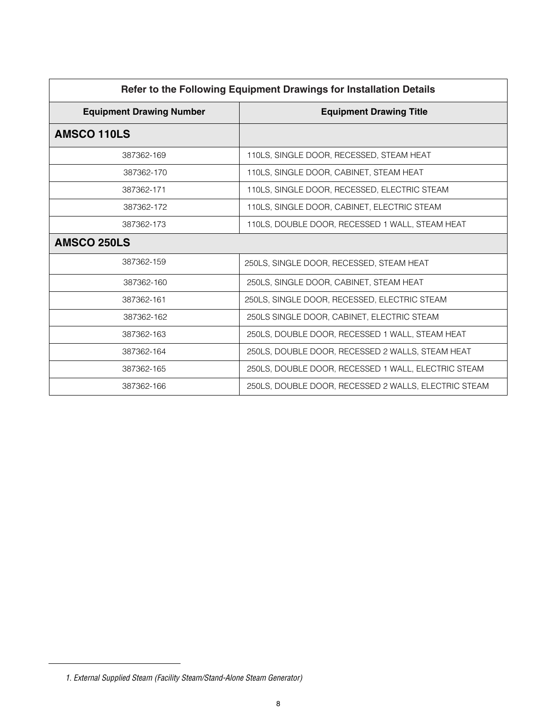| Refer to the Following Equipment Drawings for Installation Details |                                                      |  |  |  |  |
|--------------------------------------------------------------------|------------------------------------------------------|--|--|--|--|
| <b>Equipment Drawing Number</b>                                    | <b>Equipment Drawing Title</b>                       |  |  |  |  |
| AMSCO 110LS                                                        |                                                      |  |  |  |  |
| 387362-169                                                         | 110LS, SINGLE DOOR, RECESSED, STEAM HEAT             |  |  |  |  |
| 387362-170                                                         | 110LS, SINGLE DOOR, CABINET, STEAM HEAT              |  |  |  |  |
| 387362-171                                                         | 110LS, SINGLE DOOR, RECESSED, ELECTRIC STEAM         |  |  |  |  |
| 387362-172                                                         | 110LS, SINGLE DOOR, CABINET, ELECTRIC STEAM          |  |  |  |  |
| 387362-173                                                         | 110LS, DOUBLE DOOR, RECESSED 1 WALL, STEAM HEAT      |  |  |  |  |
| AMSCO 250LS                                                        |                                                      |  |  |  |  |
| 387362-159                                                         | 250LS, SINGLE DOOR, RECESSED, STEAM HEAT             |  |  |  |  |
| 387362-160                                                         | 250LS, SINGLE DOOR, CABINET, STEAM HEAT              |  |  |  |  |
| 387362-161                                                         | 250LS, SINGLE DOOR, RECESSED, ELECTRIC STEAM         |  |  |  |  |
| 387362-162                                                         | 250LS SINGLE DOOR, CABINET, ELECTRIC STEAM           |  |  |  |  |
| 387362-163                                                         | 250LS, DOUBLE DOOR, RECESSED 1 WALL, STEAM HEAT      |  |  |  |  |
| 387362-164                                                         | 250LS, DOUBLE DOOR, RECESSED 2 WALLS, STEAM HEAT     |  |  |  |  |
| 387362-165                                                         | 250LS, DOUBLE DOOR, RECESSED 1 WALL, ELECTRIC STEAM  |  |  |  |  |
| 387362-166                                                         | 250LS, DOUBLE DOOR, RECESSED 2 WALLS, ELECTRIC STEAM |  |  |  |  |

*<sup>1.</sup> External Supplied Steam (Facility Steam/Stand-Alone Steam Generator)*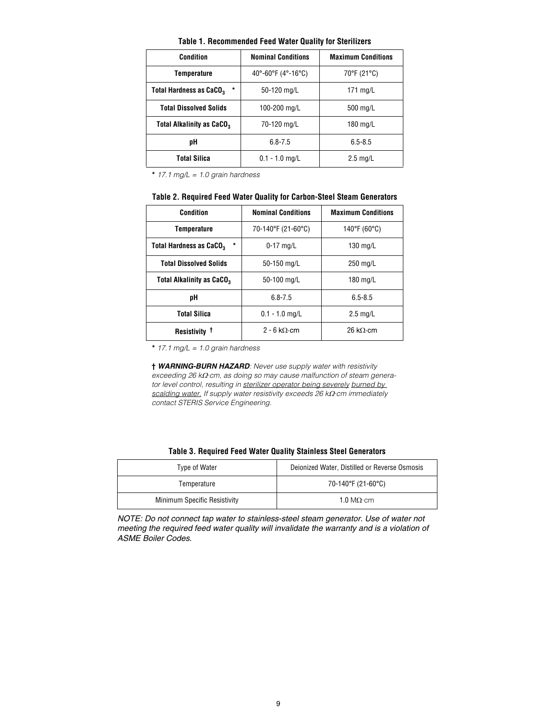| <b>Table 1. Recommended Feed Water Quality for Sterilizers</b> |
|----------------------------------------------------------------|
|----------------------------------------------------------------|

| <b>Condition</b>                               | <b>Nominal Conditions</b>                                      | <b>Maximum Conditions</b> |  |  |
|------------------------------------------------|----------------------------------------------------------------|---------------------------|--|--|
| <b>Temperature</b>                             | 40 $^{\circ}$ -60 $^{\circ}$ F (4 $^{\circ}$ -16 $^{\circ}$ C) | 70°F (21°C)               |  |  |
| *<br><b>Total Hardness as CaCO<sub>3</sub></b> | 50-120 mg/L                                                    | 171 $mq/L$                |  |  |
| <b>Total Dissolved Solids</b>                  | 100-200 mg/L                                                   | 500 mg/L                  |  |  |
| Total Alkalinity as CaCO <sub>3</sub>          | 70-120 mg/L                                                    | 180 mg/L                  |  |  |
| pН                                             | $6.8 - 7.5$                                                    | $6.5 - 8.5$               |  |  |
| Total Silica                                   | $0.1 - 1.0$ mg/L                                               | $2.5 \text{ mg/L}$        |  |  |

**\*** *17.1 mg/L = 1.0 grain hardness*

| Table 2. Required Feed Water Quality for Carbon-Steel Steam Generators |
|------------------------------------------------------------------------|
|------------------------------------------------------------------------|

| Condition                                      | <b>Nominal Conditions</b> | <b>Maximum Conditions</b>            |  |  |
|------------------------------------------------|---------------------------|--------------------------------------|--|--|
| Temperature                                    | 70-140°F (21-60°C)        | 140°F (60°C)                         |  |  |
| $\star$<br>Total Hardness as CaCO <sub>3</sub> | $0-17$ mg/L               | 130 mg/L                             |  |  |
| <b>Total Dissolved Solids</b>                  | 50-150 mg/L               | 250 mg/L                             |  |  |
| <b>Total Alkalinity as CaCO<sub>3</sub></b>    | 50-100 mg/L               | 180 mg/L                             |  |  |
| pН                                             | $6.8 - 7.5$               | $6.5 - 8.5$                          |  |  |
| Total Silica                                   | $0.1 - 1.0$ mg/L          | $2.5 \text{ mg/L}$                   |  |  |
| Resistivity <sup>†</sup>                       | $2 - 6$ kO $\cdot$ cm     | $26 \text{ k}\Omega \cdot \text{cm}$ |  |  |

**\*** *17.1 mg/L = 1.0 grain hardness*

**†** *WARNING-BURN HAZARD: Never use supply water with resistivity*   $\overline{e}$  exceeding 26 kΩ·cm, as doing so may cause malfunction of steam genera*tor level control, resulting in sterilizer operator being severely burned by scalding water. If supply water resistivity exceeds 26 kΩ·cm immediately contact STERIS Service Engineering.*

|  | <b>Table 3. Required Feed Water Quality Stainless Steel Generators</b> |
|--|------------------------------------------------------------------------|
|--|------------------------------------------------------------------------|

| Type of Water                | Deionized Water, Distilled or Reverse Osmosis |  |  |  |
|------------------------------|-----------------------------------------------|--|--|--|
| Temperature                  | 70-140°F (21-60°C)                            |  |  |  |
| Minimum Specific Resistivity | 1.0 M $\Omega$ ·cm                            |  |  |  |

*NOTE: Do not connect tap water to stainless-steel steam generator. Use of water not meeting the required feed water quality will invalidate the warranty and is a violation of ASME Boiler Codes.*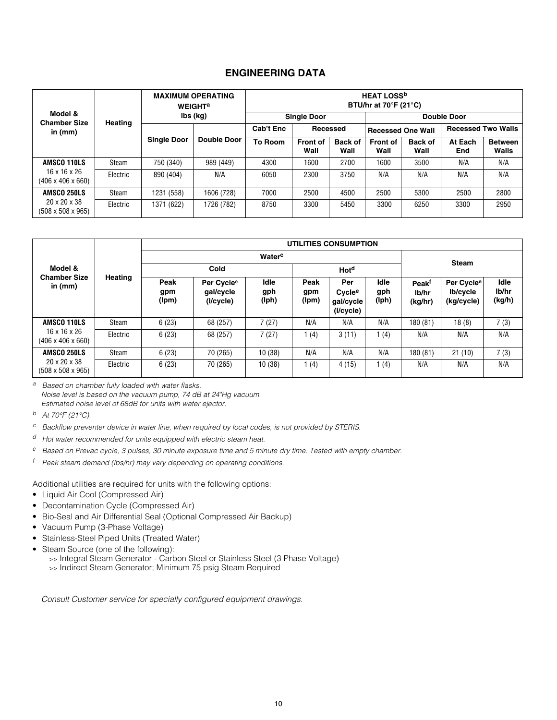# **ENGINEERING DATA**

|                                                                          | <b>MAXIMUM OPERATING</b><br><b>WEIGHT<sup>a</sup></b> |                    |                    | <b>HEAT LOSS<sup>b</sup></b><br>BTU/hr at $70^{\circ}$ F (21 $^{\circ}$ C) |                         |                                                       |                         |                 |                |                         |
|--------------------------------------------------------------------------|-------------------------------------------------------|--------------------|--------------------|----------------------------------------------------------------------------|-------------------------|-------------------------------------------------------|-------------------------|-----------------|----------------|-------------------------|
| Model &<br><b>Chamber Size</b>                                           | <b>Heating</b>                                        | lbs (kg)           |                    | <b>Single Door</b>                                                         |                         |                                                       | <b>Double Door</b>      |                 |                |                         |
| in (mm)                                                                  |                                                       |                    |                    | Cab't Enc<br>Recessed                                                      |                         | <b>Recessed Two Walls</b><br><b>Recessed One Wall</b> |                         |                 |                |                         |
|                                                                          |                                                       | <b>Single Door</b> | <b>Double Door</b> | To Room                                                                    | <b>Front of</b><br>Wall | <b>Back of</b><br>Wall                                | <b>Front of</b><br>Wall | Back of<br>Wall | At Each<br>End | <b>Between</b><br>Walls |
| AMSCO 110LS                                                              | Steam                                                 | 750 (340)          | 989 (449)          | 4300                                                                       | 1600                    | 2700                                                  | 1600                    | 3500            | N/A            | N/A                     |
| $16 \times 16 \times 26$<br>$(406 \times 406 \times 660)$                | Electric                                              | 890 (404)          | N/A                | 6050                                                                       | 2300                    | 3750                                                  | N/A                     | N/A             | N/A            | N/A                     |
| AMSCO 250LS<br>$20 \times 20 \times 38$<br>$(508 \times 508 \times 965)$ | Steam                                                 | 1231 (558)         | 1606 (728)         | 7000                                                                       | 2500                    | 4500                                                  | 2500                    | 5300            | 2500           | 2800                    |
|                                                                          | Electric                                              | 1371 (622)         | 1726 (782)         | 8750                                                                       | 3300                    | 5450                                                  | 3300                    | 6250            | 3300           | 2950                    |

|                                                           |          | UTILITIES CONSUMPTION |                                                  |                             |                      |                                                     |                      |                                       |                                                  |                         |
|-----------------------------------------------------------|----------|-----------------------|--------------------------------------------------|-----------------------------|----------------------|-----------------------------------------------------|----------------------|---------------------------------------|--------------------------------------------------|-------------------------|
| Model &                                                   |          | Water <sup>c</sup>    |                                                  |                             |                      |                                                     |                      |                                       |                                                  |                         |
|                                                           |          | Cold                  |                                                  |                             | Hot <sup>d</sup>     |                                                     |                      | <b>Steam</b>                          |                                                  |                         |
| <b>Chamber Size</b><br>in $(mm)$                          | Heating  | Peak<br>gpm<br>(lpm)  | Per Cycle <sup>e</sup><br>qal/cycle<br>(I/cycle) | <b>Idle</b><br>gph<br>(Iph) | Peak<br>gpm<br>(lpm) | Per<br>Cycle <sup>e</sup><br>gal/cycle<br>(I/cycle) | Idle<br>gph<br>(lph) | Peak <sup>f</sup><br>lb/hr<br>(kg/hr) | Per Cycle <sup>e</sup><br>lb/cycle<br>(kg/cycle) | Idle<br>lb/hr<br>(kg/h) |
| AMSCO 110LS                                               | Steam    | 6(23)                 | 68 (257)                                         | 7(27)                       | N/A                  | N/A                                                 | N/A                  | 180 (81)                              | 18(8)                                            | 7(3)                    |
| $16 \times 16 \times 26$<br>$(406 \times 406 \times 660)$ | Electric | 6(23)                 | 68 (257)                                         | 7(27)                       | 1(4)                 | 3(11)                                               | (4)                  | N/A                                   | N/A                                              | N/A                     |
| AMSCO 250LS                                               | Steam    | 6(23)                 | 70 (265)                                         | 10(38)                      | N/A                  | N/A                                                 | N/A                  | 180 (81)                              | 21(10)                                           | 7(3)                    |
| $20 \times 20 \times 38$<br>$(508 \times 508 \times 965)$ | Electric | 6(23)                 | 70 (265)                                         | 10(38)                      | 1 $(4)$              | 4(15)                                               | (4)                  | N/A                                   | N/A                                              | N/A                     |

*<sup>a</sup> Based on chamber fully loaded with water flasks. Noise level is based on the vacuum pump, 74 dB at 24"Hg vacuum. Estimated noise level of 68dB for units with water ejector.* 

*<sup>b</sup> At 70°F (21°C).*

*<sup>c</sup> Backflow preventer device in water line, when required by local codes, is not provided by STERIS.*

*<sup>d</sup> Hot water recommended for units equipped with electric steam heat.*

*<sup>e</sup> Based on Prevac cycle, 3 pulses, 30 minute exposure time and 5 minute dry time. Tested with empty chamber.*

*<sup>f</sup> Peak steam demand (lbs/hr) may vary depending on operating conditions.*

Additional utilities are required for units with the following options:

- Liquid Air Cool (Compressed Air)
- Decontamination Cycle (Compressed Air)
- Bio-Seal and Air Differential Seal (Optional Compressed Air Backup)
- Vacuum Pump (3-Phase Voltage)
- Stainless-Steel Piped Units (Treated Water)
- Steam Source (one of the following):
	- >> Integral Steam Generator Carbon Steel or Stainless Steel (3 Phase Voltage)
	- >> Indirect Steam Generator; Minimum 75 psig Steam Required

*Consult Customer service for specially configured equipment drawings.*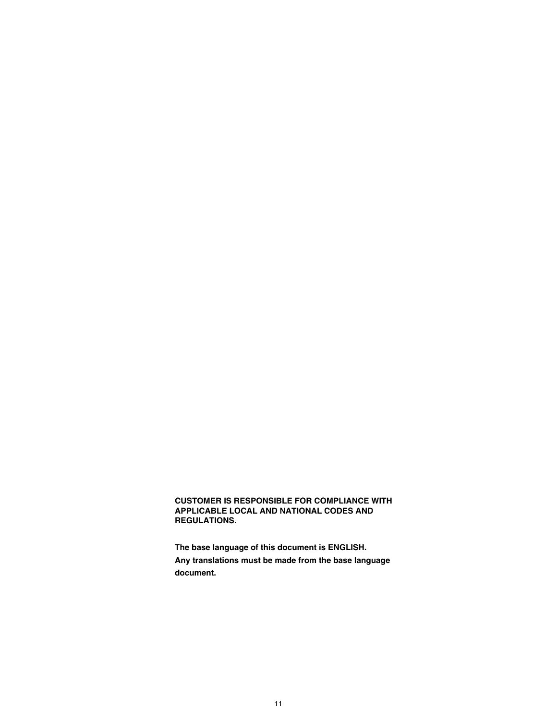### **CUSTOMER IS RESPONSIBLE FOR COMPLIANCE WITH APPLICABLE LOCAL AND NATIONAL CODES AND REGULATIONS.**

**The base language of this document is ENGLISH. Any translations must be made from the base language document.**